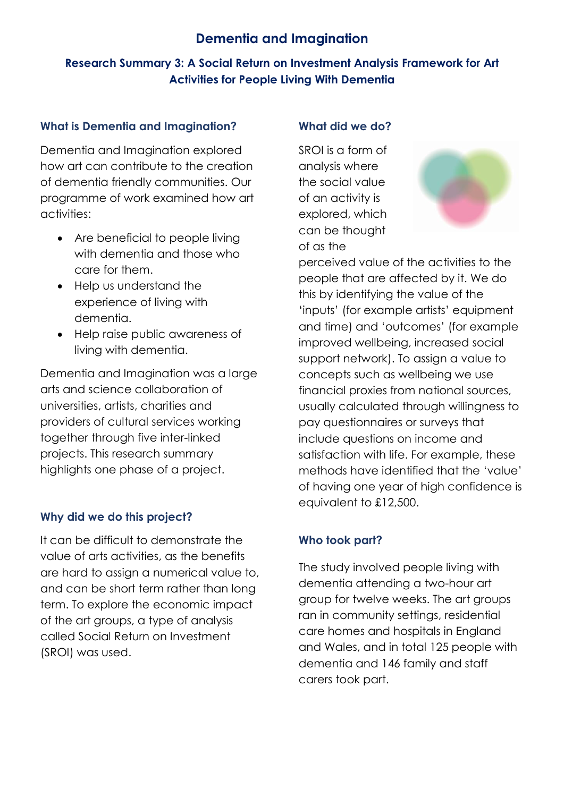# **Dementia and Imagination**

## **Research Summary 3: A Social Return on Investment Analysis Framework for Art Activities for People Living With Dementia**

### **What is Dementia and Imagination?**

Dementia and Imagination explored how art can contribute to the creation of dementia friendly communities. Our programme of work examined how art activities:

- Are beneficial to people living with dementia and those who care for them.
- Help us understand the experience of living with dementia.
- Help raise public awareness of living with dementia.

Dementia and Imagination was a large arts and science collaboration of universities, artists, charities and providers of cultural services working together through five inter-linked projects. This research summary highlights one phase of a project.

## **Why did we do this project?**

It can be difficult to demonstrate the value of arts activities, as the benefits are hard to assign a numerical value to, and can be short term rather than long term. To explore the economic impact of the art groups, a type of analysis called Social Return on Investment (SROI) was used.

#### **What did we do?**

SROI is a form of analysis where the social value of an activity is explored, which can be thought of as the



perceived value of the activities to the people that are affected by it. We do this by identifying the value of the 'inputs' (for example artists' equipment and time) and 'outcomes' (for example improved wellbeing, increased social support network). To assign a value to concepts such as wellbeing we use financial proxies from national sources, usually calculated through willingness to pay questionnaires or surveys that include questions on income and satisfaction with life. For example, these methods have identified that the 'value' of having one year of high confidence is equivalent to £12,500.

## **Who took part?**

The study involved people living with dementia attending a two-hour art group for twelve weeks. The art groups ran in community settings, residential care homes and hospitals in England and Wales, and in total 125 people with dementia and 146 family and staff carers took part.